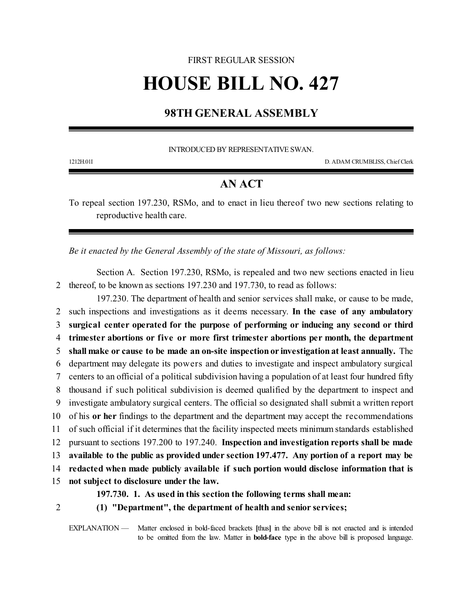## FIRST REGULAR SESSION

## **HOUSE BILL NO. 427**

## **98TH GENERAL ASSEMBLY**

INTRODUCED BY REPRESENTATIVE SWAN.

1212H.01I D. ADAM CRUMBLISS, Chief Clerk

## **AN ACT**

To repeal section 197.230, RSMo, and to enact in lieu thereof two new sections relating to reproductive health care.

*Be it enacted by the General Assembly of the state of Missouri, as follows:*

Section A. Section 197.230, RSMo, is repealed and two new sections enacted in lieu 2 thereof, to be known as sections 197.230 and 197.730, to read as follows:

197.230. The department of health and senior services shall make, or cause to be made, such inspections and investigations as it deems necessary. **In the case of any ambulatory surgical center operated for the purpose of performing or inducing any second or third trimester abortions or five or more first trimester abortions per month, the department shall make or cause to be made an on-site inspection or investigation at least annually.** The department may delegate its powers and duties to investigate and inspect ambulatory surgical centers to an official of a political subdivision having a population of at least four hundred fifty thousand if such political subdivision is deemed qualified by the department to inspect and investigate ambulatory surgical centers. The official so designated shall submit a written report of his **or her** findings to the department and the department may accept the recommendations of such official if it determines that the facility inspected meets minimum standards established pursuant to sections 197.200 to 197.240. **Inspection and investigation reports shall be made available to the public as provided under section 197.477. Any portion of a report may be redacted when made publicly available if such portion would disclose information that is not subject to disclosure under the law. 197.730. 1. As used in this section the following terms shall mean:**

- 
- 2 **(1) "Department", the department of health and senior services;**

EXPLANATION — Matter enclosed in bold-faced brackets **[**thus**]** in the above bill is not enacted and is intended to be omitted from the law. Matter in **bold-face** type in the above bill is proposed language.